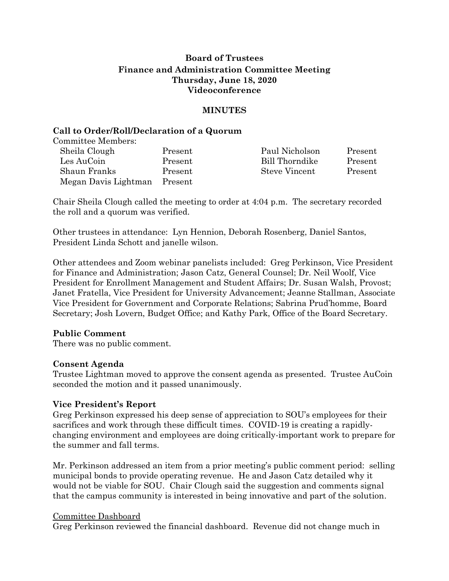# **Board of Trustees Finance and Administration Committee Meeting Thursday, June 18, 2020 Videoconference**

# **MINUTES**

# **Call to Order/Roll/Declaration of a Quorum**

Committee Members:

| Sheila Clough        | Present | Paul Nicholson | Present |
|----------------------|---------|----------------|---------|
| Les AuCoin           | Present | Bill Thorndike | Present |
| Shaun Franks         | Present | Steve Vincent  | Present |
| Megan Davis Lightman | Present |                |         |

Chair Sheila Clough called the meeting to order at 4:04 p.m. The secretary recorded the roll and a quorum was verified.

Other trustees in attendance: Lyn Hennion, Deborah Rosenberg, Daniel Santos, President Linda Schott and janelle wilson.

Other attendees and Zoom webinar panelists included: Greg Perkinson, Vice President for Finance and Administration; Jason Catz, General Counsel; Dr. Neil Woolf, Vice President for Enrollment Management and Student Affairs; Dr. Susan Walsh, Provost; Janet Fratella, Vice President for University Advancement; Jeanne Stallman, Associate Vice President for Government and Corporate Relations; Sabrina Prud'homme, Board Secretary; Josh Lovern, Budget Office; and Kathy Park, Office of the Board Secretary.

# **Public Comment**

There was no public comment.

# **Consent Agenda**

Trustee Lightman moved to approve the consent agenda as presented. Trustee AuCoin seconded the motion and it passed unanimously.

# **Vice President's Report**

Greg Perkinson expressed his deep sense of appreciation to SOU's employees for their sacrifices and work through these difficult times. COVID-19 is creating a rapidlychanging environment and employees are doing critically-important work to prepare for the summer and fall terms.

Mr. Perkinson addressed an item from a prior meeting's public comment period: selling municipal bonds to provide operating revenue. He and Jason Catz detailed why it would not be viable for SOU. Chair Clough said the suggestion and comments signal that the campus community is interested in being innovative and part of the solution.

#### Committee Dashboard

Greg Perkinson reviewed the financial dashboard. Revenue did not change much in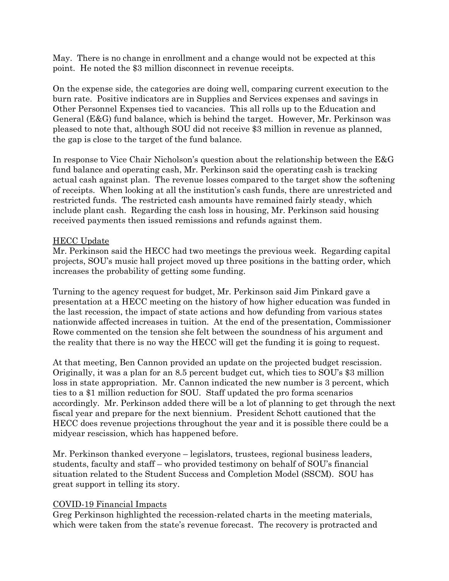May. There is no change in enrollment and a change would not be expected at this point. He noted the \$3 million disconnect in revenue receipts.

On the expense side, the categories are doing well, comparing current execution to the burn rate. Positive indicators are in Supplies and Services expenses and savings in Other Personnel Expenses tied to vacancies. This all rolls up to the Education and General (E&G) fund balance, which is behind the target. However, Mr. Perkinson was pleased to note that, although SOU did not receive \$3 million in revenue as planned, the gap is close to the target of the fund balance.

In response to Vice Chair Nicholson's question about the relationship between the E&G fund balance and operating cash, Mr. Perkinson said the operating cash is tracking actual cash against plan. The revenue losses compared to the target show the softening of receipts. When looking at all the institution's cash funds, there are unrestricted and restricted funds. The restricted cash amounts have remained fairly steady, which include plant cash. Regarding the cash loss in housing, Mr. Perkinson said housing received payments then issued remissions and refunds against them.

# HECC Update

Mr. Perkinson said the HECC had two meetings the previous week. Regarding capital projects, SOU's music hall project moved up three positions in the batting order, which increases the probability of getting some funding.

Turning to the agency request for budget, Mr. Perkinson said Jim Pinkard gave a presentation at a HECC meeting on the history of how higher education was funded in the last recession, the impact of state actions and how defunding from various states nationwide affected increases in tuition. At the end of the presentation, Commissioner Rowe commented on the tension she felt between the soundness of his argument and the reality that there is no way the HECC will get the funding it is going to request.

At that meeting, Ben Cannon provided an update on the projected budget rescission. Originally, it was a plan for an 8.5 percent budget cut, which ties to SOU's \$3 million loss in state appropriation. Mr. Cannon indicated the new number is 3 percent, which ties to a \$1 million reduction for SOU. Staff updated the pro forma scenarios accordingly. Mr. Perkinson added there will be a lot of planning to get through the next fiscal year and prepare for the next biennium. President Schott cautioned that the HECC does revenue projections throughout the year and it is possible there could be a midyear rescission, which has happened before.

Mr. Perkinson thanked everyone – legislators, trustees, regional business leaders, students, faculty and staff – who provided testimony on behalf of SOU's financial situation related to the Student Success and Completion Model (SSCM). SOU has great support in telling its story.

# COVID-19 Financial Impacts

Greg Perkinson highlighted the recession-related charts in the meeting materials, which were taken from the state's revenue forecast. The recovery is protracted and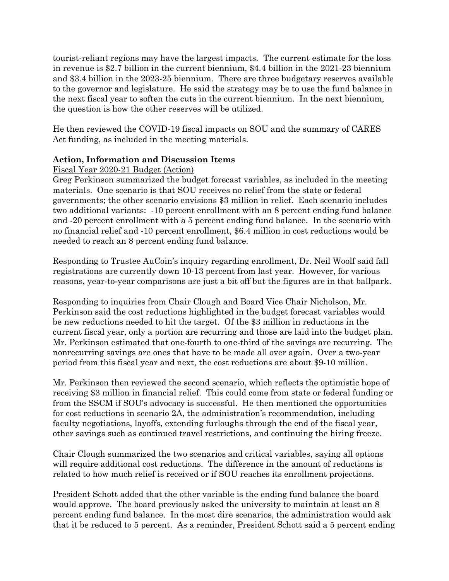tourist-reliant regions may have the largest impacts. The current estimate for the loss in revenue is \$2.7 billion in the current biennium, \$4.4 billion in the 2021-23 biennium and \$3.4 billion in the 2023-25 biennium. There are three budgetary reserves available to the governor and legislature. He said the strategy may be to use the fund balance in the next fiscal year to soften the cuts in the current biennium. In the next biennium, the question is how the other reserves will be utilized.

He then reviewed the COVID-19 fiscal impacts on SOU and the summary of CARES Act funding, as included in the meeting materials.

# **Action, Information and Discussion Items**

# Fiscal Year 2020-21 Budget (Action)

Greg Perkinson summarized the budget forecast variables, as included in the meeting materials. One scenario is that SOU receives no relief from the state or federal governments; the other scenario envisions \$3 million in relief. Each scenario includes two additional variants: -10 percent enrollment with an 8 percent ending fund balance and -20 percent enrollment with a 5 percent ending fund balance. In the scenario with no financial relief and -10 percent enrollment, \$6.4 million in cost reductions would be needed to reach an 8 percent ending fund balance.

Responding to Trustee AuCoin's inquiry regarding enrollment, Dr. Neil Woolf said fall registrations are currently down 10-13 percent from last year. However, for various reasons, year-to-year comparisons are just a bit off but the figures are in that ballpark.

Responding to inquiries from Chair Clough and Board Vice Chair Nicholson, Mr. Perkinson said the cost reductions highlighted in the budget forecast variables would be new reductions needed to hit the target. Of the \$3 million in reductions in the current fiscal year, only a portion are recurring and those are laid into the budget plan. Mr. Perkinson estimated that one-fourth to one-third of the savings are recurring. The nonrecurring savings are ones that have to be made all over again. Over a two-year period from this fiscal year and next, the cost reductions are about \$9-10 million.

Mr. Perkinson then reviewed the second scenario, which reflects the optimistic hope of receiving \$3 million in financial relief. This could come from state or federal funding or from the SSCM if SOU's advocacy is successful. He then mentioned the opportunities for cost reductions in scenario 2A, the administration's recommendation, including faculty negotiations, layoffs, extending furloughs through the end of the fiscal year, other savings such as continued travel restrictions, and continuing the hiring freeze.

Chair Clough summarized the two scenarios and critical variables, saying all options will require additional cost reductions. The difference in the amount of reductions is related to how much relief is received or if SOU reaches its enrollment projections.

President Schott added that the other variable is the ending fund balance the board would approve. The board previously asked the university to maintain at least an 8 percent ending fund balance. In the most dire scenarios, the administration would ask that it be reduced to 5 percent. As a reminder, President Schott said a 5 percent ending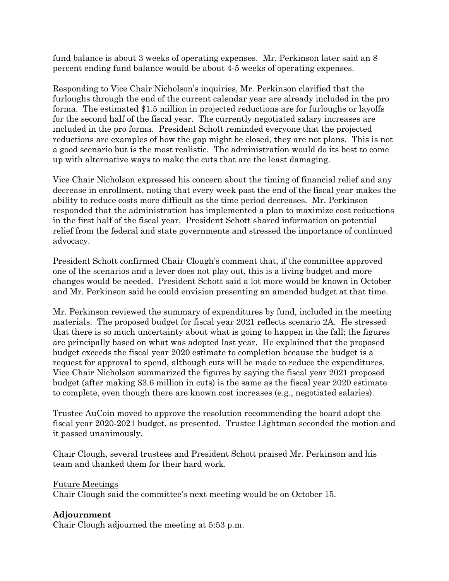fund balance is about 3 weeks of operating expenses. Mr. Perkinson later said an 8 percent ending fund balance would be about 4-5 weeks of operating expenses.

Responding to Vice Chair Nicholson's inquiries, Mr. Perkinson clarified that the furloughs through the end of the current calendar year are already included in the pro forma. The estimated \$1.5 million in projected reductions are for furloughs or layoffs for the second half of the fiscal year. The currently negotiated salary increases are included in the pro forma. President Schott reminded everyone that the projected reductions are examples of how the gap might be closed, they are not plans. This is not a good scenario but is the most realistic. The administration would do its best to come up with alternative ways to make the cuts that are the least damaging.

Vice Chair Nicholson expressed his concern about the timing of financial relief and any decrease in enrollment, noting that every week past the end of the fiscal year makes the ability to reduce costs more difficult as the time period decreases. Mr. Perkinson responded that the administration has implemented a plan to maximize cost reductions in the first half of the fiscal year. President Schott shared information on potential relief from the federal and state governments and stressed the importance of continued advocacy.

President Schott confirmed Chair Clough's comment that, if the committee approved one of the scenarios and a lever does not play out, this is a living budget and more changes would be needed. President Schott said a lot more would be known in October and Mr. Perkinson said he could envision presenting an amended budget at that time.

Mr. Perkinson reviewed the summary of expenditures by fund, included in the meeting materials. The proposed budget for fiscal year 2021 reflects scenario 2A. He stressed that there is so much uncertainty about what is going to happen in the fall; the figures are principally based on what was adopted last year. He explained that the proposed budget exceeds the fiscal year 2020 estimate to completion because the budget is a request for approval to spend, although cuts will be made to reduce the expenditures. Vice Chair Nicholson summarized the figures by saying the fiscal year 2021 proposed budget (after making \$3.6 million in cuts) is the same as the fiscal year 2020 estimate to complete, even though there are known cost increases (e.g., negotiated salaries).

Trustee AuCoin moved to approve the resolution recommending the board adopt the fiscal year 2020-2021 budget, as presented. Trustee Lightman seconded the motion and it passed unanimously.

Chair Clough, several trustees and President Schott praised Mr. Perkinson and his team and thanked them for their hard work.

# Future Meetings

Chair Clough said the committee's next meeting would be on October 15.

# **Adjournment**

Chair Clough adjourned the meeting at 5:53 p.m.